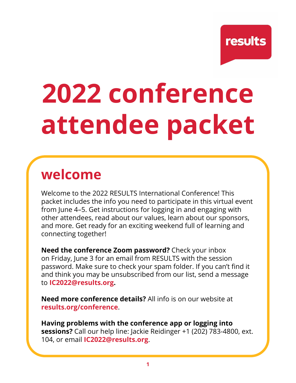**results** 

# **2022 conference attendee packet**

# **welcome**

Welcome to the 2022 RESULTS International Conference! This packet includes the info you need to participate in this virtual event from June 4–5. Get instructions for logging in and engaging with other attendees, read about our values, learn about our sponsors, and more. Get ready for an exciting weekend full of learning and connecting together!

**Need the conference Zoom password?** Check your inbox on Friday, June 3 for an email from RESULTS with the session password. Make sure to check your spam folder. If you can't find it and think you may be unsubscribed from our list, send a message to **[IC2022@results.org](mailto:IC2021%40results.org?subject=).**

**Need more conference details?** All info is on our website at **[results.org/conference](https://results.org/conference/about)**.

**Having problems with the conference app or logging into sessions?** Call our help line: Jackie Reidinger +1 (202) 783-4800, ext. 104, or email **[IC2022@results.org](mailto:IC2021%40results.org?subject=)**.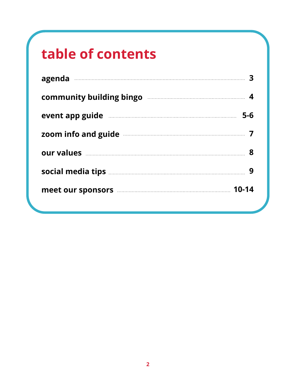# **table of contents**

| agenda 33                                                                                                                                                                                                                           |  |
|-------------------------------------------------------------------------------------------------------------------------------------------------------------------------------------------------------------------------------------|--|
| community building bingo manufactured and the 4                                                                                                                                                                                     |  |
| event app guide <b>contained</b> and the set of 5-6                                                                                                                                                                                 |  |
| zoom info and guide <b>contract and guide</b> 7                                                                                                                                                                                     |  |
| our values <b>contracts</b> and the set of the set of the set of the set of the set of the set of the set of the set of the set of the set of the set of the set of the set of the set of the set of the set of the set of the set  |  |
|                                                                                                                                                                                                                                     |  |
| meet our sponsors <b>manual meet our sponsors</b> and the manual meet our sponsors and meet our sponsors and the manual meet our sponsors and meet our sponsors and meet our sponsors and meet our sponsors and meet our sponsors a |  |
|                                                                                                                                                                                                                                     |  |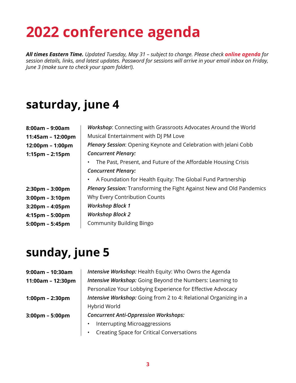# **2022 conference agenda**

*All times Eastern Time. Updated Tuesday, May 31 – subject to change. Please check [online agenda](https://results.org/conference/agenda/) for session details, links, and latest updates. Password for sessions will arrive in your email inbox on Friday, June 3 (make sure to check your spam folder!).*

## **saturday, june 4**

| $8:00am - 9:00am$                 | <b>Workshop:</b> Connecting with Grassroots Advocates Around the World       |  |  |
|-----------------------------------|------------------------------------------------------------------------------|--|--|
| 11:45am - 12:00pm                 | Musical Entertainment with DJ PM Love                                        |  |  |
| 12:00pm - 1:00pm                  | Plenary Session: Opening Keynote and Celebration with Jelani Cobb            |  |  |
| $1:15$ pm – 2:15pm                | <b>Concurrent Plenary:</b>                                                   |  |  |
|                                   | The Past, Present, and Future of the Affordable Housing Crisis               |  |  |
|                                   | <b>Concurrent Plenary:</b>                                                   |  |  |
|                                   | A Foundation for Health Equity: The Global Fund Partnership<br>$\bullet$     |  |  |
| $2:30$ pm – $3:00$ pm             | <b>Plenary Session:</b> Transforming the Fight Against New and Old Pandemics |  |  |
| $3:00 \text{pm} - 3:10 \text{pm}$ | Why Every Contribution Counts                                                |  |  |
| $3:20 \text{pm} - 4:05 \text{pm}$ | <b>Workshop Block 1</b>                                                      |  |  |
| $4:15 \text{pm} - 5:00 \text{pm}$ | <b>Workshop Block 2</b>                                                      |  |  |
| $5:00 \text{pm} - 5:45 \text{pm}$ | <b>Community Building Bingo</b>                                              |  |  |
|                                   |                                                                              |  |  |

### **sunday, june 5**

| $9:00am - 10:30am$                | Intensive Workshop: Health Equity: Who Owns the Agenda            |  |  |
|-----------------------------------|-------------------------------------------------------------------|--|--|
| $11:00am - 12:30pm$               | Intensive Workshop: Going Beyond the Numbers: Learning to         |  |  |
|                                   | Personalize Your Lobbying Experience for Effective Advocacy       |  |  |
| $1:00 \text{pm} - 2:30 \text{pm}$ | Intensive Workshop: Going from 2 to 4: Relational Organizing in a |  |  |
|                                   | Hybrid World                                                      |  |  |
| $3:00 \text{pm} - 5:00 \text{pm}$ | <b>Concurrent Anti-Oppression Workshops:</b>                      |  |  |
|                                   | <b>Interrupting Microaggressions</b>                              |  |  |
|                                   | <b>Creating Space for Critical Conversations</b>                  |  |  |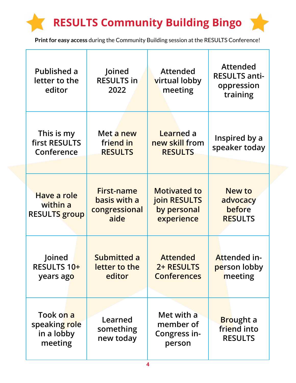# **RESULTS Community Building Bingo**

**Print for easy access** during the Community Building session at the RESULTS Conference!

| <b>Published a</b><br>letter to the<br>editor       | Joined<br><b>RESULTS in</b><br>2022                        | <b>Attended</b><br>virtual lobby<br>meeting                      | <b>Attended</b><br><b>RESULTS anti-</b><br>oppression<br>training |
|-----------------------------------------------------|------------------------------------------------------------|------------------------------------------------------------------|-------------------------------------------------------------------|
| This is my<br>first RESULTS<br>Conference           | Met a new<br>friend in<br><b>RESULTS</b>                   | Learned a<br>new skill from<br><b>RESULTS</b>                    | Inspired by a<br>speaker today                                    |
| Have a role<br>within a<br><b>RESULTS</b> group     | <b>First-name</b><br>basis with a<br>congressional<br>aide | <b>Motivated to</b><br>join RESULTS<br>by personal<br>experience | New to<br>advocacy<br>before<br><b>RESULTS</b>                    |
| Joined<br>RESULTS 10+<br>years ago                  | Submitted a<br>letter to the<br>editor                     | <b>Attended</b><br>2+ RESULTS<br><b>Conferences</b>              | Attended in-<br>person lobby<br>meeting                           |
| Took on a<br>speaking role<br>in a lobby<br>meeting | Learned<br>something<br>new today                          | Met with a<br>member of<br>Congress in-<br>person                | <b>Brought a</b><br>friend into<br><b>RESULTS</b>                 |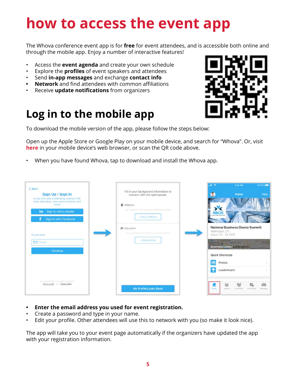# **how to access the event app**

The Whova conference event app is for **free** for event attendees, and is accessible both online and through the mobile app. Enjoy a number of interactive features!

- Access the **event agenda** and create your own schedule
- Explore the **profiles** of event speakers and attendees
- Send **in-app messages** and exchange **contact info**
- **• Network** and find attendees with common affiliations
- Receive **update notifications** from organizers

## **Log in to the mobile app**

To download the mobile version of the app, please follow the steps below:

Open up the Apple Store or Google Play on your mobile device, and search for "Whova". Or, visit **[here](https://whova.com/download/)** in your mobile device's web browser, or scan the QR code above.

• When you have found Whova, tap to download and install the Whova app.

| $\leq$ Back<br>Sign Up / Sign In<br>to see who else is attending, connect with<br>other attendees, view event schedule, and<br>more!<br>in Sign In with LinkedIn<br>Sign In with Facebook | Fill in your background information to<br>connect with the right people.<br>Affiliation<br>You currently don't have any afflictions added.<br>- Add an Affiliation | $m \approx$<br><b><i><i><u><b>E</b></u></i></i></b> 100% 2008<br>9:41 AM<br>Θ<br>Help<br>Home<br><b>NBOS</b>                                                                                                                                                      |
|-------------------------------------------------------------------------------------------------------------------------------------------------------------------------------------------|--------------------------------------------------------------------------------------------------------------------------------------------------------------------|-------------------------------------------------------------------------------------------------------------------------------------------------------------------------------------------------------------------------------------------------------------------|
| Or use email<br>Email<br><b>Continue</b>                                                                                                                                                  | <b>世</b> Education<br>Vou comedy don't have any schools added<br>+ Add a School                                                                                    | <b>National Business Owner Summit</b><br>Washington, D.C.<br>August 22 - 24, 2020<br>ECOCETORN<br><b>AGENCY</b><br>ofostown p<br><b><i><u>DISPUNITIONS</u></i></b><br>Business Centerashington<br><b>Quick Shortcuts</b><br>Photos<br>$\mathbf{w}$<br>Leaderboard |
| By University Research, Artist Barriet Ba Whendore<br>Terms of Use Inni Ethacy Policy                                                                                                     | My Profile Looks Good                                                                                                                                              | 9)<br>$\sim$<br>雦<br><b>Home</b><br>Agenda<br>Attendees<br>Community<br>Meksages                                                                                                                                                                                  |

- **• Enter the email address you used for event registration.**
- Create a password and type in your name.
- Edit your profile. Other attendees will use this to network with you (so make it look nice).

The app will take you to your event page automatically if the organizers have updated the app with your registration information.

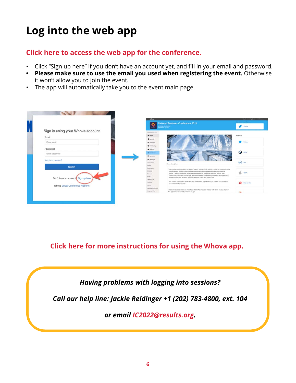## **Log into the web app**

#### **Clic[k here to access the web app for the conference.](https://whova.com/portal/webapp/resul_202206/)**

- Click "Sign up here" if you don't have an account yet, and fill in your email and password.
- **• Please make sure to use the email you used when registering the event.** Otherwise it won't allow you to join the event.
- The app will automatically take you to the event main page.



**Click here fo[r more instructions for using the Whova app.](https://whova.com/pages/whova-app-user-guide/)**

*Having problems with logging into sessions?* 

*Call our help line: Jackie Reidinger +1 (202) 783-4800, ext. 104*

*or email [IC2022@results.org](mailto:IC2022%40results.org?subject=).*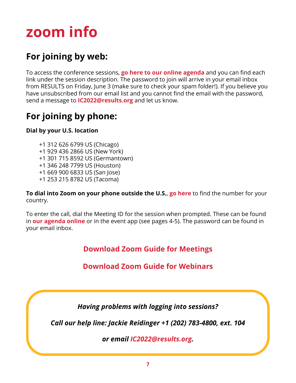# **zoom info**

### **For joining by web:**

To access the conference sessions, **[go here to our online agenda](https://results.org/conference/agenda/)** and you can find each link under the session description. The password to join will arrive in your email inbox from RESULTS on Friday, June 3 (make sure to check your spam folder!). If you believe you have unsubscribed from our email list and you cannot find the email with the password, send a message to **[IC2022@results.org](mailto:IC2022%40results.org?subject=)** and let us know.

### **For joining by phone:**

#### **Dial by your U.S. location**

- +1 312 626 6799 US (Chicago) +1 929 436 2866 US (New York) +1 301 715 8592 US (Germantown) +1 346 248 7799 US (Houston) +1 669 900 6833 US (San Jose)
- +1 253 215 8782 US (Tacoma)

**To dial into Zoom on your phone outside the U.S.**, **[go here](https://zoom.us/zoomconference)** to find the number for your country.

To enter the call, dial the Meeting ID for the session when prompted. These can be found in **[our agenda online](https://results.org/conference/agenda/)** or in the event app (see pages 4-5). The password can be found in your email inbox.

**Download [Zoom Guide for Meetings](https://results.org/wp-content/uploads/Attending-a-Zoom-Meeting-1.docx)**

#### **Download Zo[om Guide for Webinars](https://results.org/wp-content/uploads/Attending-a-Zoom-Webinar-1.docx)**

*Having problems with logging into sessions?* 

*Call our help line: Jackie Reidinger +1 (202) 783-4800, ext. 104*

*or email [IC2022@results.org.](mailto:IC2022%40results.org?subject=)*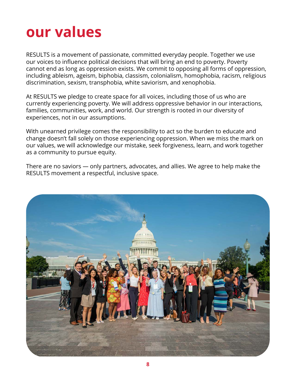# **our values**

RESULTS is a movement of passionate, committed everyday people. Together we use our voices to influence political decisions that will bring an end to poverty. Poverty cannot end as long as oppression exists. We commit to opposing all forms of oppression, including ableism, ageism, biphobia, classism, colonialism, homophobia, racism, religious discrimination, sexism, transphobia, white saviorism, and xenophobia.

At RESULTS we pledge to create space for all voices, including those of us who are currently experiencing poverty. We will address oppressive behavior in our interactions, families, communities, work, and world. Our strength is rooted in our diversity of experiences, not in our assumptions.

With unearned privilege comes the responsibility to act so the burden to educate and change doesn't fall solely on those experiencing oppression. When we miss the mark on our values, we will acknowledge our mistake, seek forgiveness, learn, and work together as a community to pursue equity.

There are no saviors — only partners, advocates, and allies. We agree to help make the RESULTS movement a respectful, inclusive space.

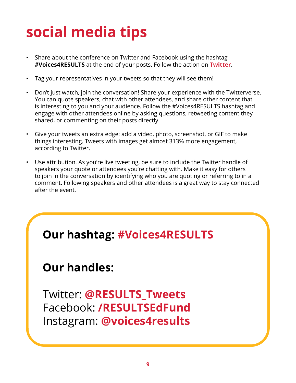# **social media tips**

- Share about the conference on Twitter and Facebook using the hashtag **#Voices4RESULTS** at the end of your posts. Follow the action on **[Twitter](https://twitter.com/search?q=%23voices4results&src=typed_query&f=live)**.
- Tag your representatives in your tweets so that they will see them!
- Don't just watch, join the conversation! Share your experience with the Twitterverse. You can quote speakers, chat with other attendees, and share other content that is interesting to you and your audience. Follow the #Voices4RESULTS hashtag and engage with other attendees online by asking questions, retweeting content they shared, or commenting on their posts directly.
- Give your tweets an extra edge: add a video, photo, screenshot, or GIF to make things interesting. Tweets with images get almost 313% more engagement, according to Twitter.
- Use attribution. As you're live tweeting, be sure to include the Twitter handle of speakers your quote or attendees you're chatting with. Make it easy for others to join in the conversation by identifying who you are quoting or referring to in a comment. Following speakers and other attendees is a great way to stay connected after the event.

## **[O](https://twitter.com/search?q=%23voices4results&src=typed_query&f=live)ur hashtag: [#Voices4RESULTS](https://twitter.com/search?q=%23voices4results&src=typed_query&f=live)**

### **Our handles:**

Twitter: **[@RESULTS\\_Tweets](https://twitter.com/RESULTS_Tweets)** Facebook: **[/RESULTSEdFund](https://www.facebook.com/RESULTSEdFund/)** Instagram: **[@voices4results](https://www.instagram.com/voices4results/?hl=en)**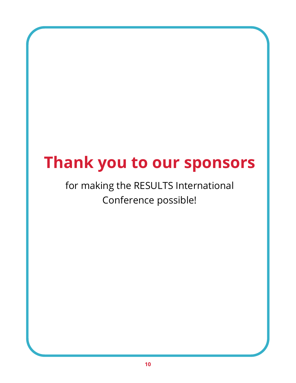# **Thank you to our sponsors**

## for making the RESULTS International Conference possible!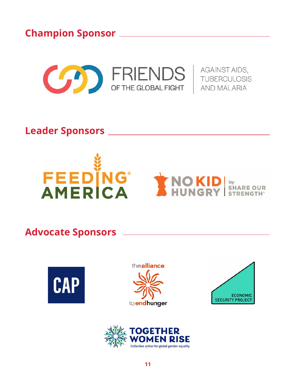**Champion Sponsor** 



**Leader Sponsors** 



### **Advocate Sponsors**







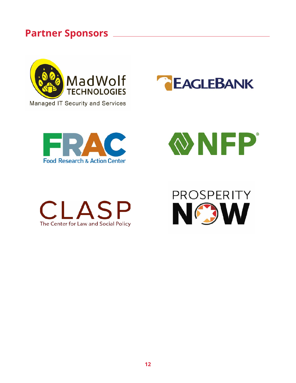### **Partner Sponsors**











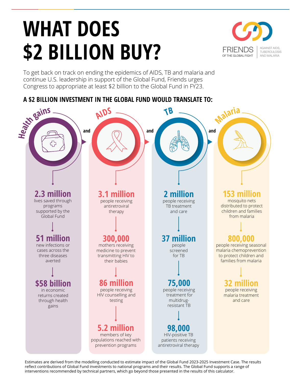# **WHAT DOES \$2 BILLION BUY?**



To get back on track on ending the epidemics of AIDS, TB and malaria and continue U.S. leadership in support of the Global Fund, Friends urges Congress to appropriate at least \$2 billion to the Global Fund in FY23.

#### **A \$2 BILLION INVESTMENT IN THE GLOBAL FUND WOULD TRANSLATE TO:**



Estimates are derived from the modelling conducted to estimate impact of the Global Fund 2023-2025 Investment Case. The results reflect contributions of Global Fund investments to national programs and their results. The Global Fund supports a range of interventions recommended by technical partners, which go beyond those presented in the results of this calculator.